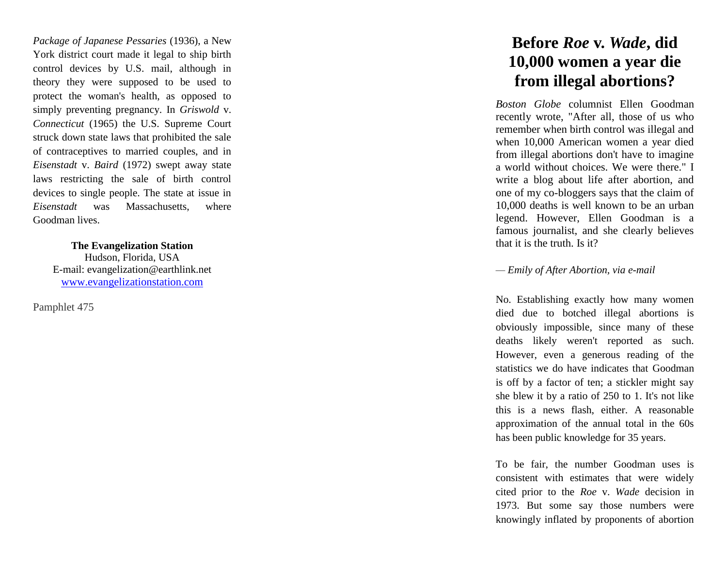*Package of Japanese Pessaries* (1936), a New York district court made it legal to ship birth control devices by U.S. mail, although in theory they were supposed to be used to protect the woman's health, as opposed to simply preventing pregnancy. In *[Griswold](http://www.oyez.org/oyez/resource/case/149/)* v. *[Connecticut](http://www.oyez.org/oyez/resource/case/149/)* (1965) the U.S. Supreme Court struck down state laws that prohibited the sale of contraceptives to married couples, and in *[Eisenstadt](http://www.oyez.org/oyez/resource/case/630/)* v. *Baird* (1972) swept away state laws restricting the sale of birth control devices to single people. The state at issue in *Eisenstadt* was Massachusetts, where Goodman lives.

> **The Evangelization Station** Hudson, Florida, USA E -mail: evangelization@earthlink.net [www.evangelizationstation.com](http://www.pjpiisoe.org/)

Pamphlet 475

## **Before** *Roe* **v.** *Wade***, did 10,000 women a year die from illegal abortions?**

*Boston Globe* columnist Ellen Goodman recently wrote, "After all, those of us who remember when birth control was illegal and when 10,000 American women a year died from illegal abortions don't have to imagine a world without choices. We were there." I write a blog about life after abortion, and one of my co -bloggers says that the claim of 10,000 deaths is well known to be an urban legend. However, Ellen Goodman is a famous journalist, and she clearly believes that it is the truth. Is it?

## *— Emily of After Abortion, via e -mail*

No. Establishing exactly how many women died due to botched illegal abortions is obviously impossible, since many of these deaths likely weren't reported as such. However, even a generous reading of the statistics we do have indicates that Goodman is off by a factor of ten; a stickler might say she blew it by a ratio of 250 to 1. It's not like this is a news flash, either. A reasonable approximation of the annual total in the 60s has been public knowledge for 35 years.

To be fair, the number Goodman uses is consistent with estimates that were widely cited prior to the *Roe* v. *Wade* decision in 1973. But some say those numbers were knowingly inflated by proponents of abortion